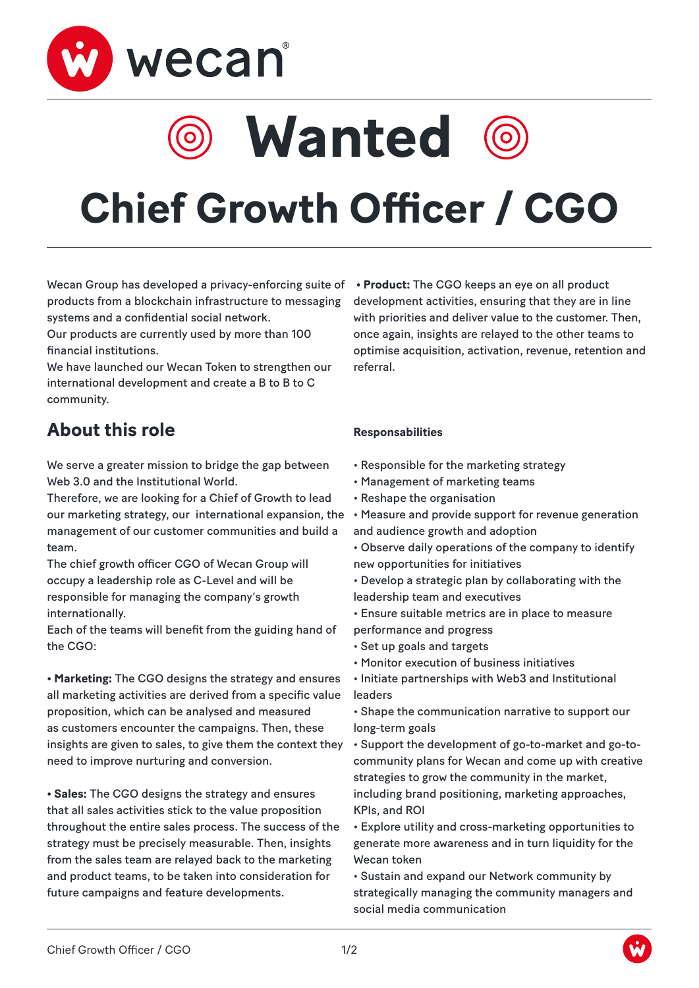

**Wanted**



# **Chief Growth Officer / CGO**

Wecan Group has developed a privacy-enforcing suite of products from a blockchain infrastructure to messaging systems and a confidential social network.

Our products are currently used by more than 100 financial institutions.

We have launched our Wecan Token to strengthen our international development and create a B to B to C community.

## **About this role**

We serve a greater mission to bridge the gap between Web 3.0 and the Institutional World.

Therefore, we are looking for a Chief of Growth to lead our marketing strategy, our international expansion, the management of our customer communities and build a team.

The chief growth officer CGO of Wecan Group will occupy a leadership role as C-Level and will be responsible for managing the company's growth internationally.

Each of the teams will benefit from the guiding hand of the CGO:

**• Marketing:** The CGO designs the strategy and ensures all marketing activities are derived from a specific value proposition, which can be analysed and measured as customers encounter the campaigns. Then, these insights are given to sales, to give them the context they need to improve nurturing and conversion.

**• Sales:** The CGO designs the strategy and ensures that all sales activities stick to the value proposition throughout the entire sales process. The success of the strategy must be precisely measurable. Then, insights from the sales team are relayed back to the marketing and product teams, to be taken into consideration for future campaigns and feature developments.

**• Product:** The CGO keeps an eye on all product development activities, ensuring that they are in line with priorities and deliver value to the customer. Then, once again, insights are relayed to the other teams to optimise acquisition, activation, revenue, retention and referral.

#### **Responsabilities**

- Responsible for the marketing strategy
- Management of marketing teams
- Reshape the organisation
- Measure and provide support for revenue generation and audience growth and adoption
- Observe daily operations of the company to identify new opportunities for initiatives

• Develop a strategic plan by collaborating with the leadership team and executives

- Ensure suitable metrics are in place to measure performance and progress
- Set up goals and targets
- Monitor execution of business initiatives

• Initiate partnerships with Web3 and Institutional leaders

• Shape the communication narrative to support our long-term goals

• Support the development of go-to-market and go-tocommunity plans for Wecan and come up with creative strategies to grow the community in the market, including brand positioning, marketing approaches, KPIs, and ROI

• Explore utility and cross-marketing opportunities to generate more awareness and in turn liquidity for the Wecan token

• Sustain and expand our Network community by strategically managing the community managers and social media communication